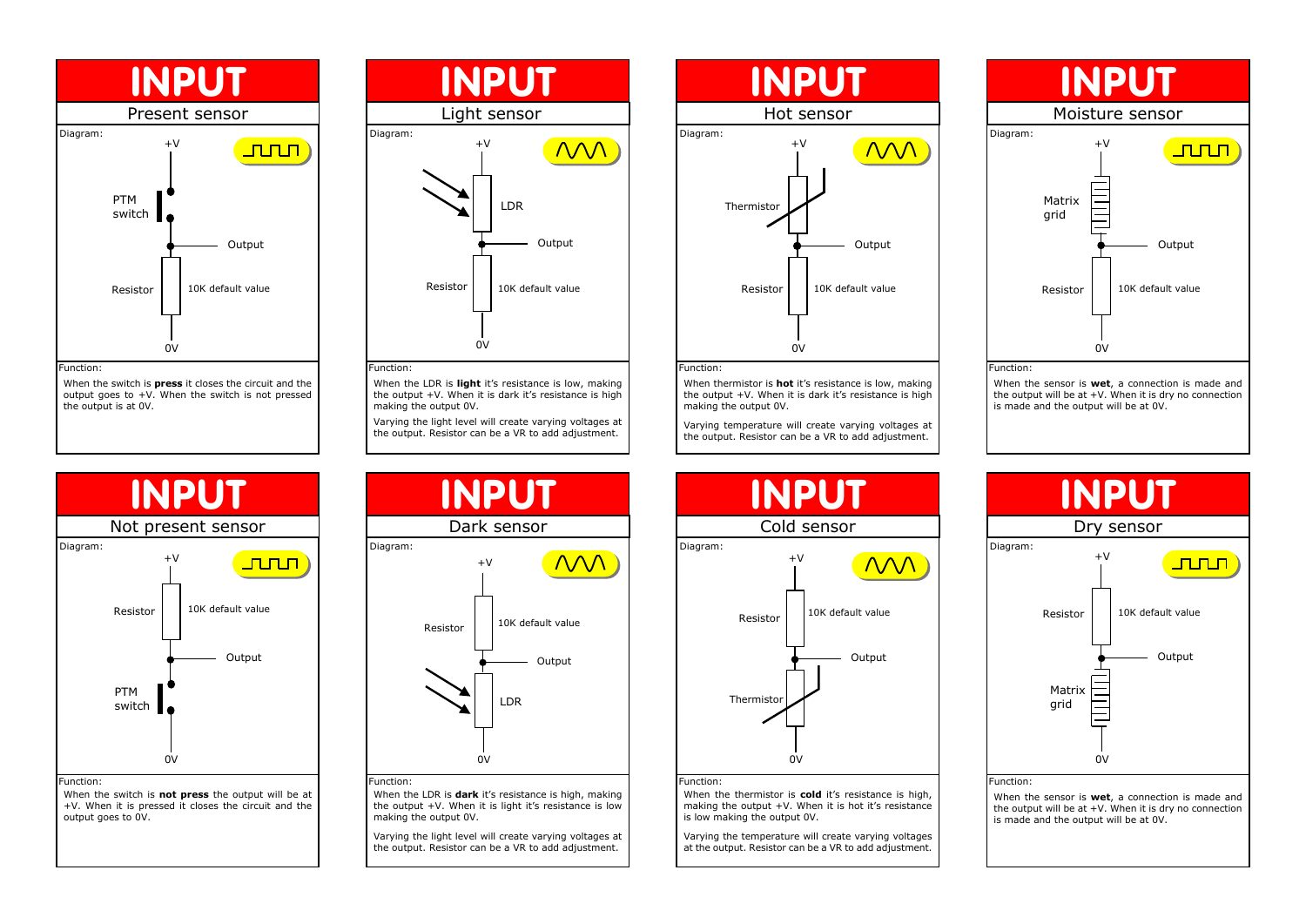

output goes to +V. When the switch is not pressed the output is at 0V.



When the LDR is **light** it's resistance is low, making the output +V. When it is dark it's resistance is high making the output 0V.

Varying the light level will create varying voltages at the output. Resistor can be a VR to add adjustment.



When thermistor is **hot** it's resistance is low, making the output +V. When it is dark it's resistance is high making the output 0V.

Varying temperature will create varying voltages at the output. Resistor can be a VR to add adjustment.



When the sensor is **wet**, a connection is made and the output will be at  $+V$ . When it is dry no connection is made and the output will be at 0V.



# Function:

When the switch is **not press** the output will be at +V. When it is pressed it closes the circuit and the output goes to 0V.



# Function:

When the LDR is **dark** it's resistance is high, making the output +V. When it is light it's resistance is low making the output 0V.

Varying the light level will create varying voltages at the output. Resistor can be a VR to add adjustment.



#### Function:

When the thermistor is **cold** it's resistance is high, making the output  $+V$ . When it is hot it's resistance is low making the output 0V.

Varying the temperature will create varying voltages at the output. Resistor can be a VR to add adjustment.



#### Function:

When the sensor is **wet**, a connection is made and the output will be at +V. When it is dry no connection is made and the output will be at 0V.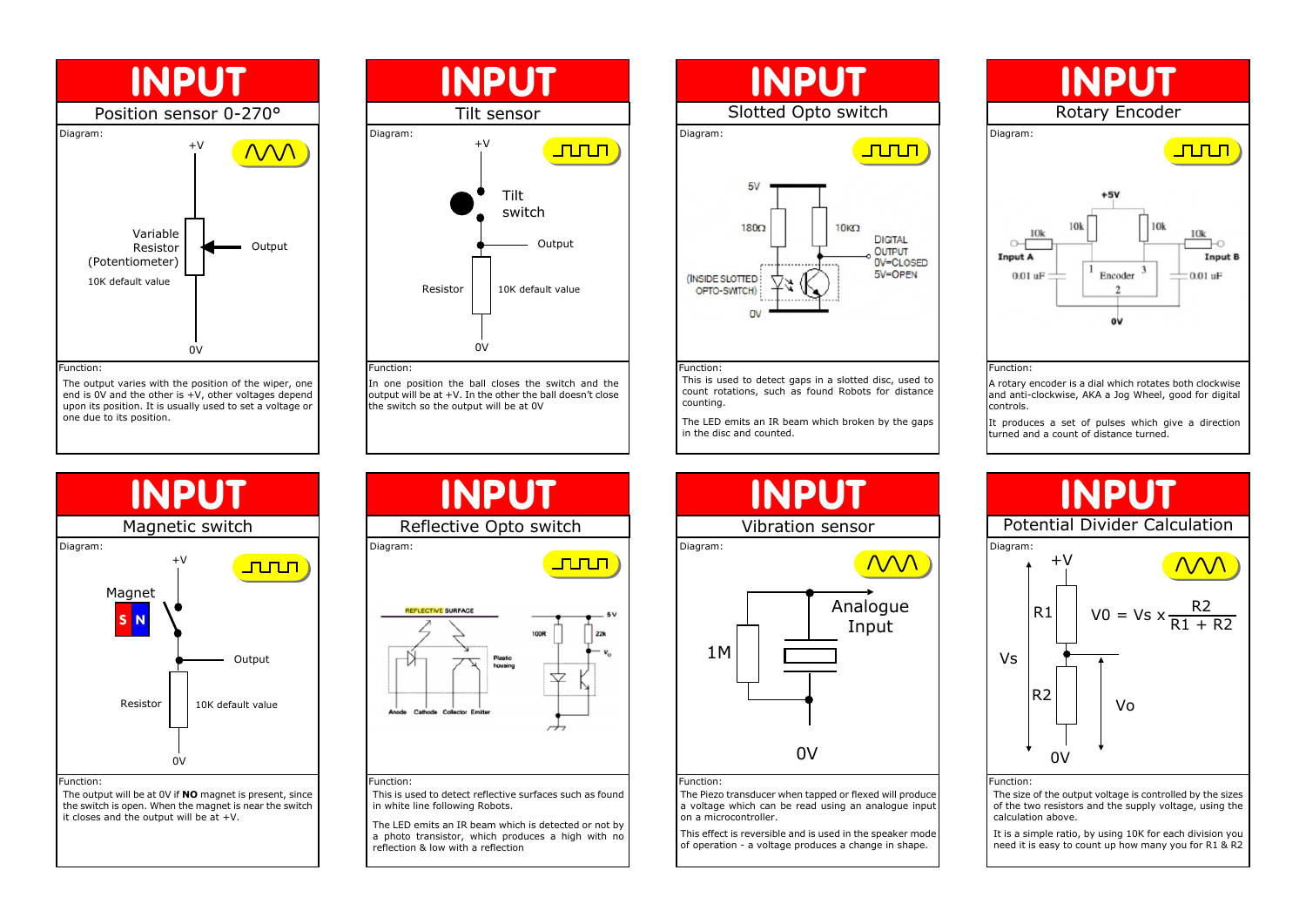

The output varies with the position of the wiper, one end is 0V and the other is +V, other voltages depend upon its position. It is usually used to set a voltage or one due to its position.



In one position the ball closes the switch and the output will be at +V. In the other the ball doesn't close the switch so the output will be at 0V



Function:

This is used to detect gaps in a slotted disc, used to count rotations, such as found Robots for distance counting.

The LED emits an IR beam which broken by the gaps in the disc and counted.



A rotary encoder is a dial which rotates both clockwise and anti-clockwise, AKA a Jog Wheel, good for digital controls.

It produces a set of pulses which give a direction turned and a count of distance turned.



# Function:

The output will be at 0V if **NO** magnet is present, since the switch is open. When the magnet is near the switch it closes and the output will be at +V.



in white line following Robots.

The LED emits an IR beam which is detected or not by a photo transistor, which produces a high with no reflection & low with a reflection



The Piezo transducer when tapped or flexed will produce a voltage which can be read using an analogue input on a microcontroller.

This effect is reversible and is used in the speaker mode of operation - a voltage produces a change in shape.



#### Function:

The size of the output voltage is controlled by the sizes of the two resistors and the supply voltage, using the calculation above.

It is a simple ratio, by using 10K for each division you need it is easy to count up how many you for R1 & R2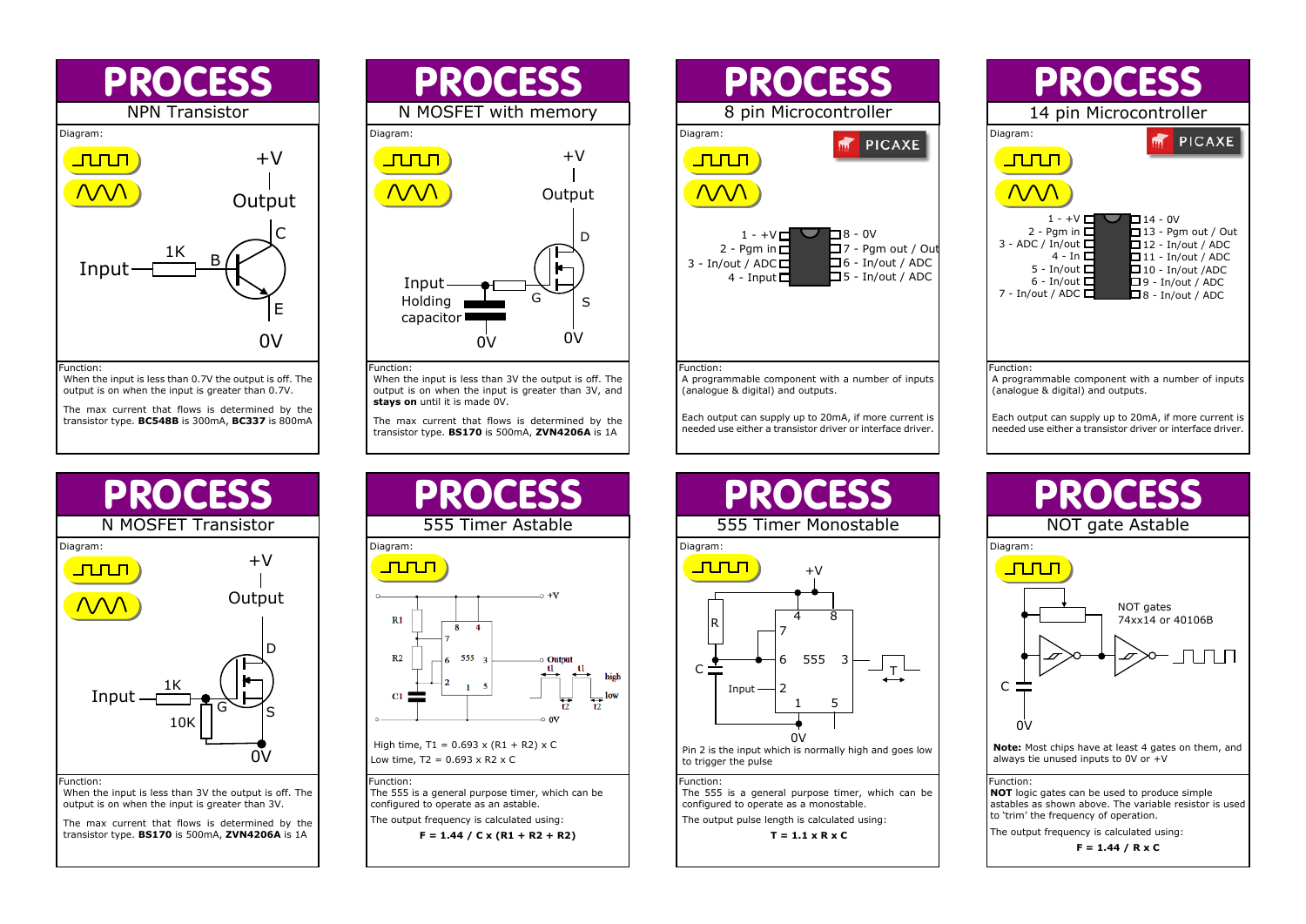

output is on when the input is greater than 0.7V.

The max current that flows is determined by the transistor type. **BC548B** is 300mA, **BC337** is 800mA



When the input is less than 3V the output is off. The output is on when the input is greater than 3V, and **stays on** until it is made 0V.

The max current that flows is determined by the transistor type. **BS170** is 500mA, **ZVN4206A** is 1A



A programmable component with a number of inputs (analogue & digital) and outputs.

Each output can supply up to 20mA, if more current is needed use either a transistor driver or interface driver.

**PROCESS** 

555 Timer Monostable









configured to operate as an astable.

The output frequency is calculated using: **F = 1.44 / C x (R1 + R2 + R2)**



Function: The 555 is a general purpose timer, which can be

configured to operate as a monostable. The output pulse length is calculated using:

 **T = 1.1 x R x C**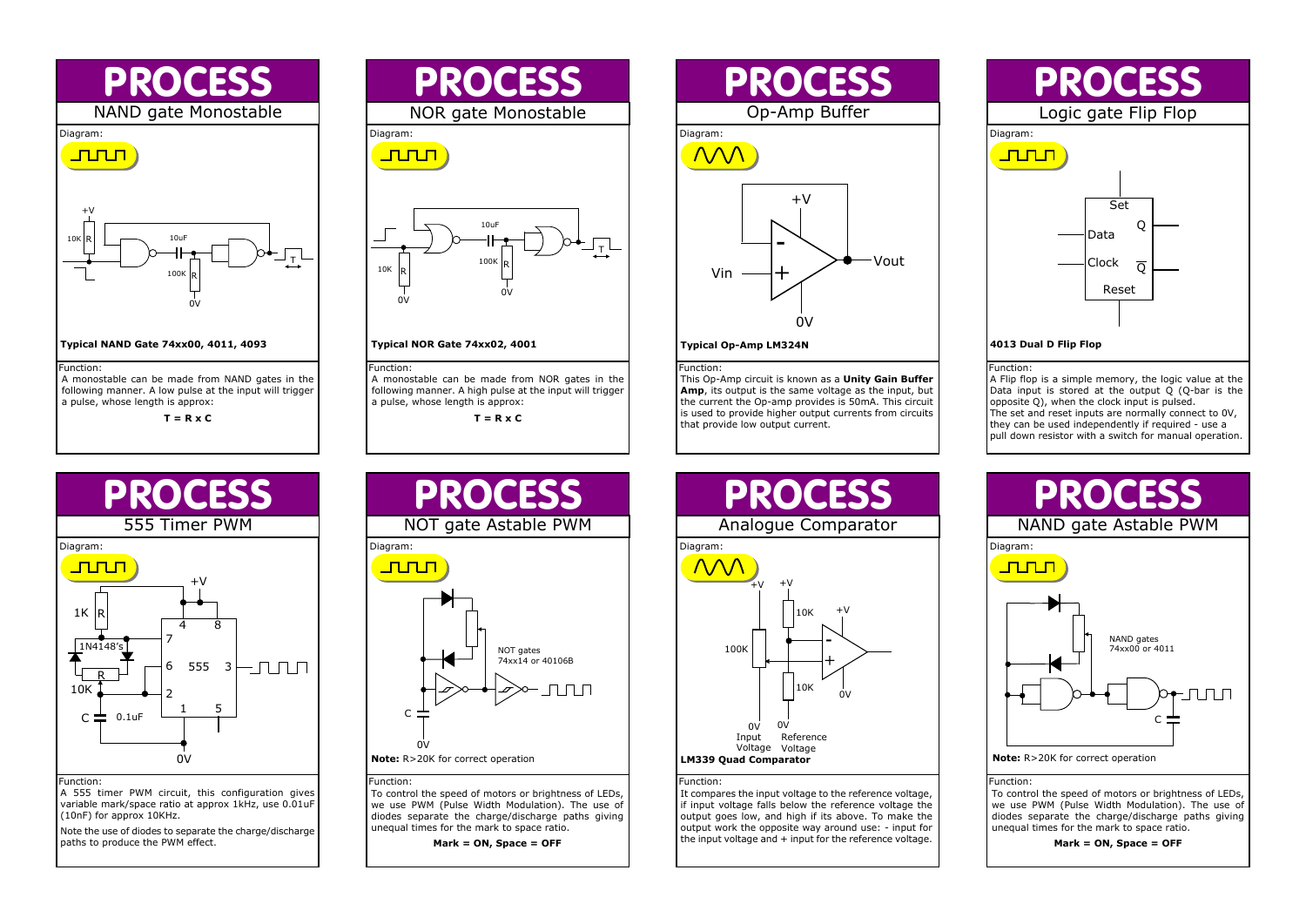

Function:

A monostable can be made from NAND gates in the following manner. A low pulse at the input will trigger a pulse, whose length is approx:

**T = R x C**



# **Typical NOR Gate 74xx02, 4001**

Function: A monostable can be made from NOR gates in the following manner. A high pulse at the input will trigger a pulse, whose length is approx:

**T = R x C**



# Function:

This Op-Amp circuit is known as a **Unity Gain Buffer Amp**, its output is the same voltage as the input, but the current the Op-amp provides is 50mA. This circuit is used to provide higher output currents from circuits that provide low output current.



A Flip flop is a simple memory, the logic value at the Data input is stored at the output Q (Q-bar is the opposite Q), when the clock input is pulsed. The set and reset inputs are normally connect to 0V, they can be used independently if required - use a pull down resistor with a switch for manual operation.



Function:

A 555 timer PWM circuit, this configuration gives variable mark/space ratio at approx 1kHz, use 0.01uF (10nF) for approx 10KHz.

Note the use of diodes to separate the charge/discharge paths to produce the PWM effect.



# Function:

To control the speed of motors or brightness of LEDs, we use PWM (Pulse Width Modulation). The use of diodes separate the charge/discharge paths giving unequal times for the mark to space ratio.

**Mark = ON, Space = OFF**



#### Function:

It compares the input voltage to the reference voltage, if input voltage falls below the reference voltage the output goes low, and high if its above. To make the output work the opposite way around use: - input for the input voltage and + input for the reference voltage.



#### Function:

To control the speed of motors or brightness of LEDs, we use PWM (Pulse Width Modulation). The use of diodes separate the charge/discharge paths giving unequal times for the mark to space ratio.

**Mark = ON, Space = OFF**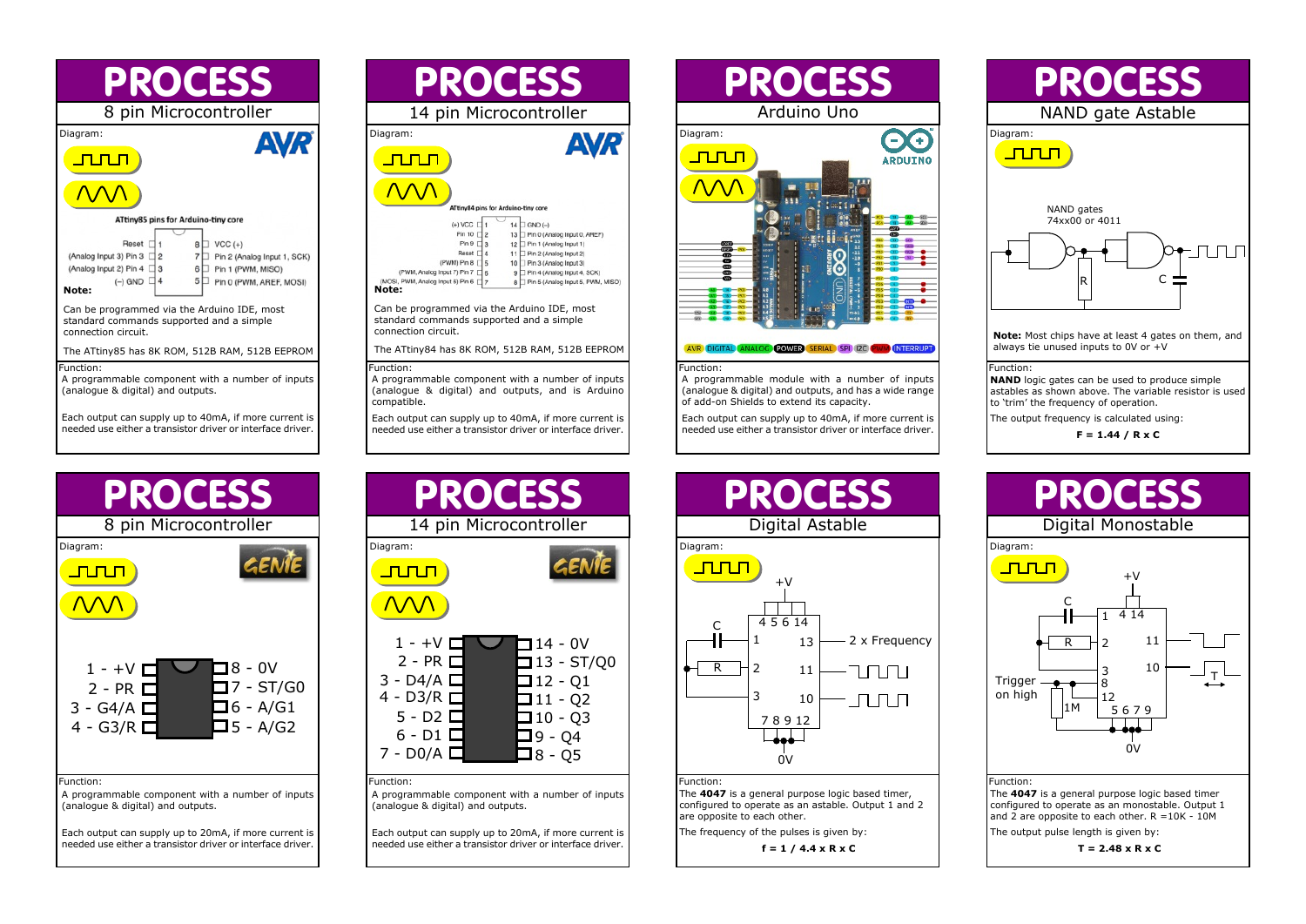



Function: A programmable component with a number of inputs

(analogue & digital) and outputs, and is Arduino compatible.

Each output can supply up to 40mA, if more current is needed use either a transistor driver or interface driver.



# Function:

Diagram:

 $\epsilon$ 

 $\blacksquare$ 

R

Function:

are opposite to each other.

1 2 3

A programmable module with a number of inputs (analogue & digital) and outputs, and has a wide range of add-on Shields to extend its capacity.

Each output can supply up to 40mA, if more current is needed use either a transistor driver or interface driver.

PROCES

The **4047** is a general purpose logic based timer, configured to operate as an astable. Output 1 and 2

 **f = 1 / 4.4 x R x C**

The frequency of the pulses is given by:

Digital Astable

13 11 10 2 x Frequency

וחחר  $\cdot$  חחה $\cdot$ 

4 5 6 14

 $+V$ 

7 8 9 12

nv



PROCESS

NAND gate Astable



#### Function:

The **4047** is a general purpose logic based timer configured to operate as an monostable. Output 1 and 2 are opposite to each other.  $R = 10K - 10M$ 

The output pulse length is given by:

 **T = 2.48 x R x C**



#### Function:

A programmable component with a number of inputs (analogue & digital) and outputs.

Each output can supply up to 20mA, if more current is needed use either a transistor driver or interface driver.



# Function:

A programmable component with a number of inputs (analogue & digital) and outputs.

Each output can supply up to 20mA, if more current is needed use either a transistor driver or interface driver.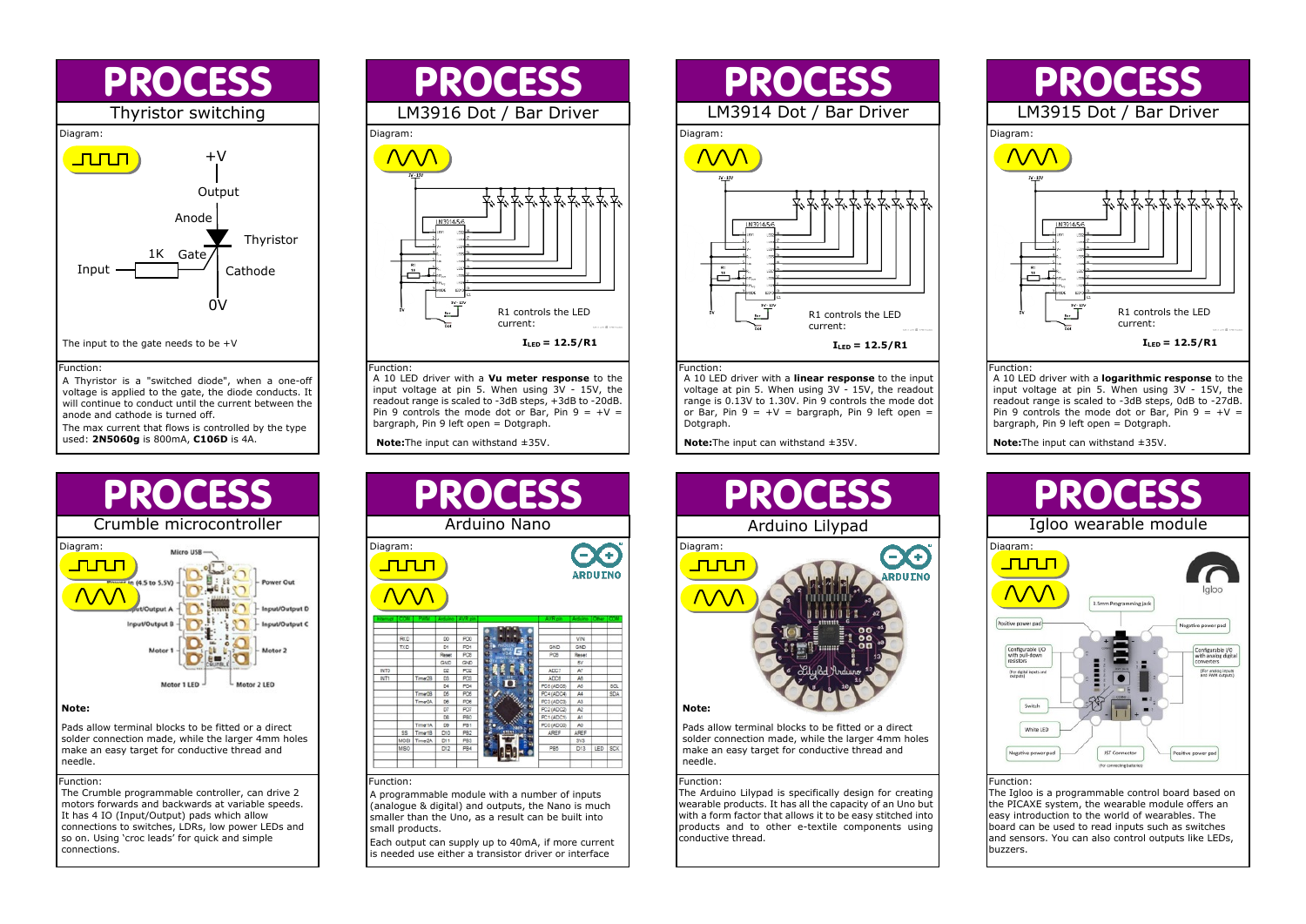



# **Note:**

Pads allow terminal blocks to be fitted or a direct solder connection made, while the larger 4mm holes make an easy target for conductive thread and needle.

# Function:

The Crumble programmable controller, can drive 2 motors forwards and backwards at variable speeds. It has 4 IO (Input/Output) pads which allow connections to switches, LDRs, low power LEDs and so on. Using 'croc leads' for quick and simple connections.



Function: A 10 LED driver with a **Vu meter response** to the input voltage at pin 5. When using 3V - 15V, the readout range is scaled to -3dB steps, +3dB to -20dB.

Pin 9 controls the mode dot or Bar, Pin  $9 = +V =$ bargraph, Pin 9 left open = Dotgraph.

**Note:**The input can withstand ±35V.



# Function:

A programmable module with a number of inputs (analogue & digital) and outputs, the Nano is much smaller than the Uno, as a result can be built into small products.

Each output can supply up to 40mA, if more current is needed use either a transistor driver or interface



Function: A 10 LED driver with a **linear response** to the input voltage at pin 5. When using 3V - 15V, the readout range is 0.13V to 1.30V. Pin 9 controls the mode dot or Bar, Pin  $9 = +V =$  bargraph, Pin 9 left open = Dotgraph.

**Note:**The input can withstand ±35V.



Pads allow terminal blocks to be fitted or a direct solder connection made, while the larger 4mm holes make an easy target for conductive thread and needle.

### Function:

The Arduino Lilypad is specifically design for creating wearable products. It has all the capacity of an Uno but with a form factor that allows it to be easy stitched into products and to other e-textile components using conductive thread.



input voltage at pin 5. When using  $3V - 15V$ , the readout range is scaled to -3dB steps, 0dB to -27dB. Pin 9 controls the mode dot or Bar, Pin  $9 = +V =$ bargraph, Pin 9 left open = Dotgraph.

**Note:**The input can withstand ±35V.



### Function:

The Igloo is a programmable control board based on the PICAXE system, the wearable module offers an easy introduction to the world of wearables. The board can be used to read inputs such as switches and sensors. You can also control outputs like LEDs, buzzers.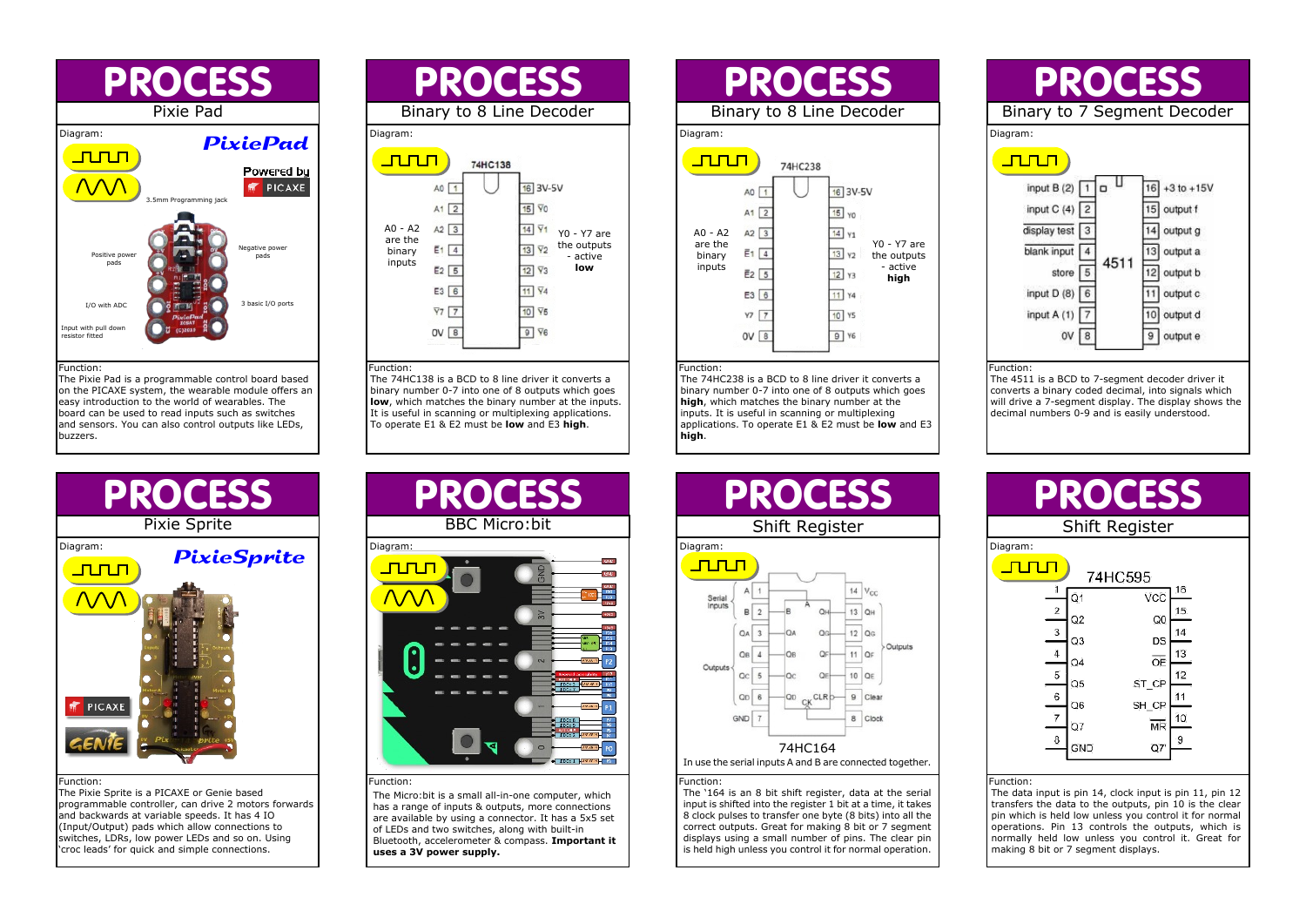

The Pixie Pad is a programmable control board based on the PICAXE system, the wearable module offers an easy introduction to the world of wearables. The board can be used to read inputs such as switches and sensors. You can also control outputs like LEDs, buzzers.



#### Function:

The Pixie Sprite is a PICAXE or Genie based programmable controller, can drive 2 motors forwards and backwards at variable speeds. It has 4 IO (Input/Output) pads which allow connections to switches, LDRs, low nower LEDs and so on. Using 'croc leads' for quick and simple connections.

| PROCESS                                  |                        |         |                       |                                               |  |  |
|------------------------------------------|------------------------|---------|-----------------------|-----------------------------------------------|--|--|
| Binary to 8 Line Decoder                 |                        |         |                       |                                               |  |  |
| Diagram:                                 |                        |         |                       |                                               |  |  |
|                                          |                        | 74HC138 |                       |                                               |  |  |
| $AD - A2$<br>are the<br>binary<br>inputs | A0                     |         | $16$ 3V-5V            |                                               |  |  |
|                                          | $A1$   2               |         | $15$ $\overline{Y}0$  |                                               |  |  |
|                                          | $A2 \mid 3$            |         | $14$ $\overline{Y}$ 1 | Y0 - Y7 are<br>the outputs<br>- active<br>low |  |  |
|                                          | $E1$ 4                 |         | $13$ $\overline{Y}2$  |                                               |  |  |
|                                          | $E2$ 5                 |         | $12$ $\overline{Y}3$  |                                               |  |  |
|                                          | $E3$ 6                 |         | $11$ $\overline{Y}4$  |                                               |  |  |
|                                          | 77 I<br>$\overline{7}$ |         | 10 Y5                 |                                               |  |  |
|                                          | OV 8                   |         | $9$ $\overline{Y6}$   |                                               |  |  |
| Function:                                |                        |         |                       |                                               |  |  |

Function: The 74HC138 is a BCD to 8 line driver it converts a binary number 0-7 into one of 8 outputs which goes **low**, which matches the binary number at the inputs. It is useful in scanning or multiplexing applications.

To operate E1 & E2 must be **low** and E3 **high**.



#### Function:

The Micro:bit is a small all-in-one computer, which has a range of inputs & outputs, more connections are available by using a connector. It has a 5x5 set of LEDs and two switches, along with built-in Bluetooth, accelerometer & compass. **Important it uses a 3V power supply.**



Function:

Diagram:

<u>nnn</u>

Serial Inputs

Outputs

The 74HC238 is a BCD to 8 line driver it converts a binary number 0-7 into one of 8 outputs which goes **high**, which matches the binary number at the inputs. It is useful in scanning or multiplexing applications. To operate E1 & E2 must be **low** and E3 **high**.



# Function:

The 4511 is a BCD to 7-segment decoder driver it converts a binary coded decimal, into signals which will drive a 7-segment display. The display shows the decimal numbers 0-9 and is easily understood.



#### Function:

The '164 is an 8 bit shift register, data at the serial input is shifted into the register 1 bit at a time, it takes 8 clock pulses to transfer one byte (8 bits) into all the correct outputs. Great for making 8 bit or 7 segment displays using a small number of pins. The clear pin is held high unless you control it for normal operation.



#### Function:

The data input is pin 14, clock input is pin 11, pin 12 transfers the data to the outputs, pin 10 is the clear pin which is held low unless you control it for normal operations. Pin 13 controls the outputs, which is normally held low unless you control it. Great for making 8 bit or 7 segment displays.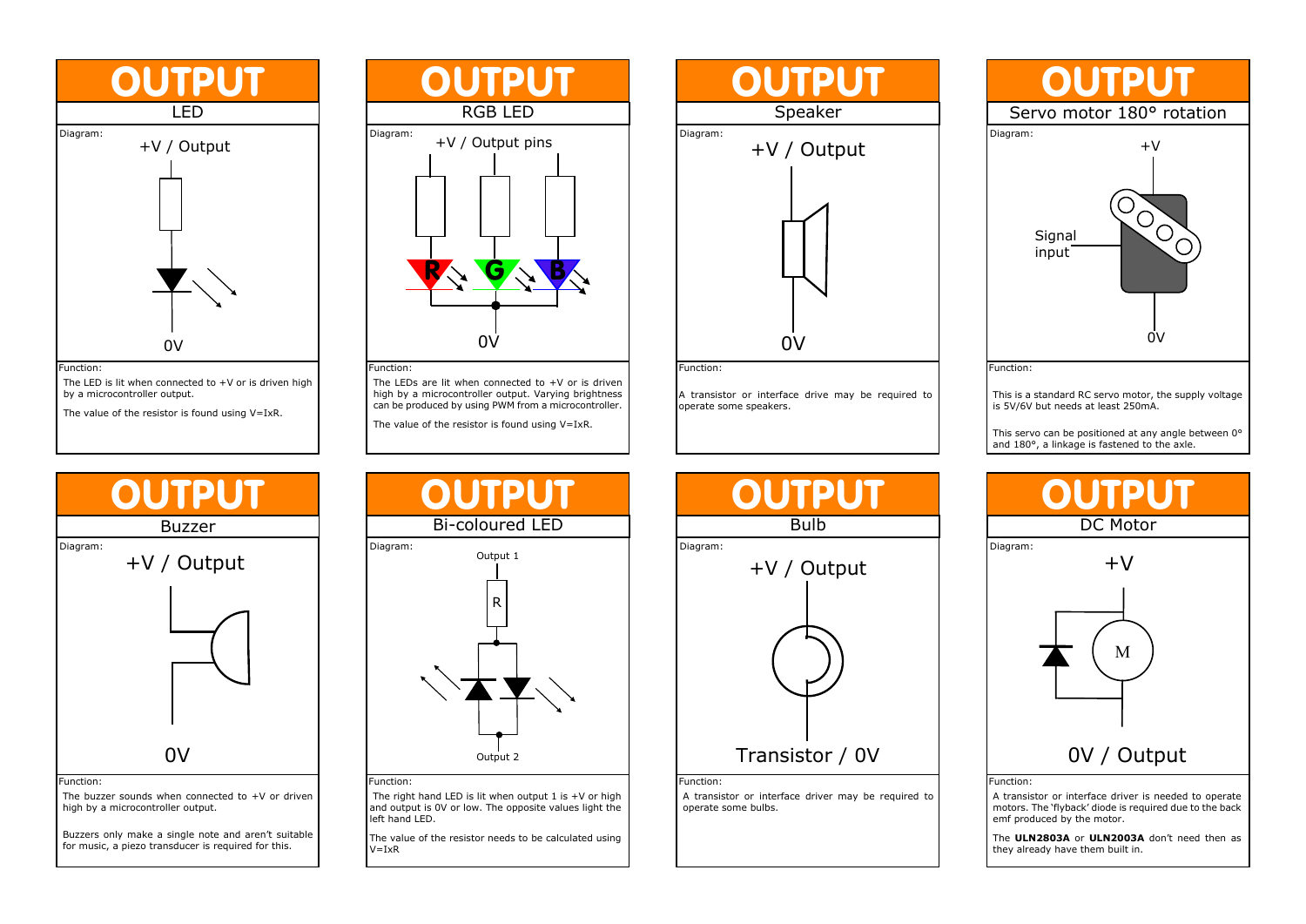

The value of the resistor is found using V=IxR.



The LEDs are lit when connected to +V or is driven high by a microcontroller output. Varying brightness can be produced by using PWM from a microcontroller.

The value of the resistor is found using V=IxR.



A transistor or interface drive may be required to operate some speakers.





#### Function:

The buzzer sounds when connected to +V or driven high by a microcontroller output.

Buzzers only make a single note and aren't suitable for music, a piezo transducer is required for this.



# Function:

The right hand LED is lit when output  $1$  is  $+V$  or high and output is 0V or low. The opposite values light the left hand LED.

The value of the resistor needs to be calculated using  $V = I \times R$ 



#### Function:

A transistor or interface driver may be required to operate some bulbs.



 $+V$ 

Diagram:

The **ULN2803A** or **ULN2003A** don't need then as they already have them built in.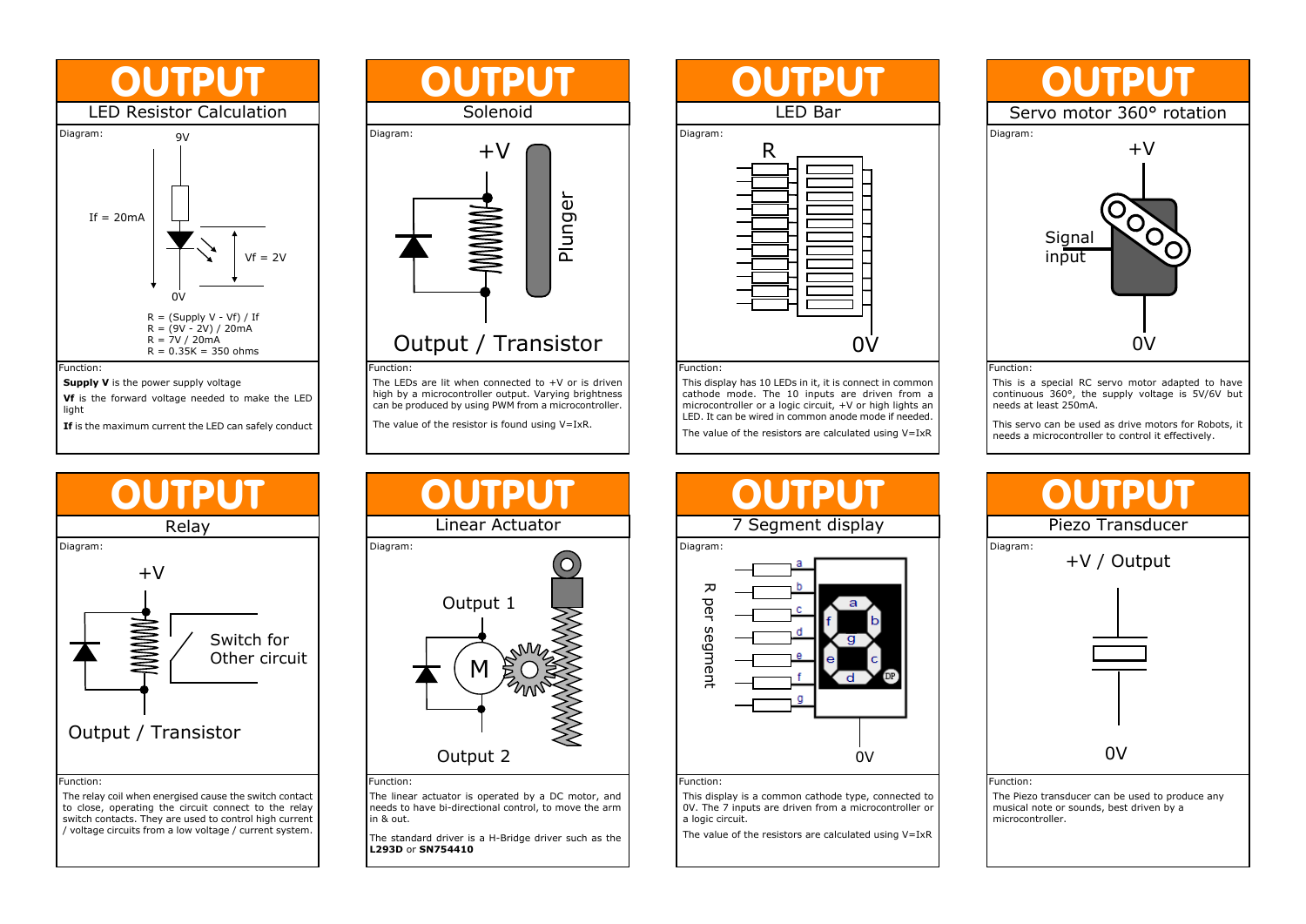



# Function:

The relay coil when energised cause the switch contact to close, operating the circuit connect to the relay switch contacts. They are used to control high current / voltage circuits from a low voltage / current system.



# Function:

in & out.

**L293D** or **SN754410**

The LEDs are lit when connected to +V or is driven high by a microcontroller output. Varying brightness can be produced by using PWM from a microcontroller.

The value of the resistor is found using V=IxR.



This display has 10 LEDs in it, it is connect in common cathode mode. The 10 inputs are driven from a microcontroller or a logic circuit, +V or high lights an LED. It can be wired in common anode mode if needed.

The value of the resistors are calculated using  $V=IxR$ 



#### Function:

This display is a common cathode type, connected to 0V. The 7 inputs are driven from a microcontroller or a logic circuit.

The value of the resistors are calculated using  $V=IxR$ 



This is a special RC servo motor adapted to have continuous 360°, the supply voltage is 5V/6V but needs at least 250mA.

This servo can be used as drive motors for Robots, it needs a microcontroller to control it effectively.



#### Function:

The Piezo transducer can be used to produce any musical note or sounds, best driven by a microcontroller.



needs to have bi-directional control, to move the arm

The standard driver is a H-Bridge driver such as the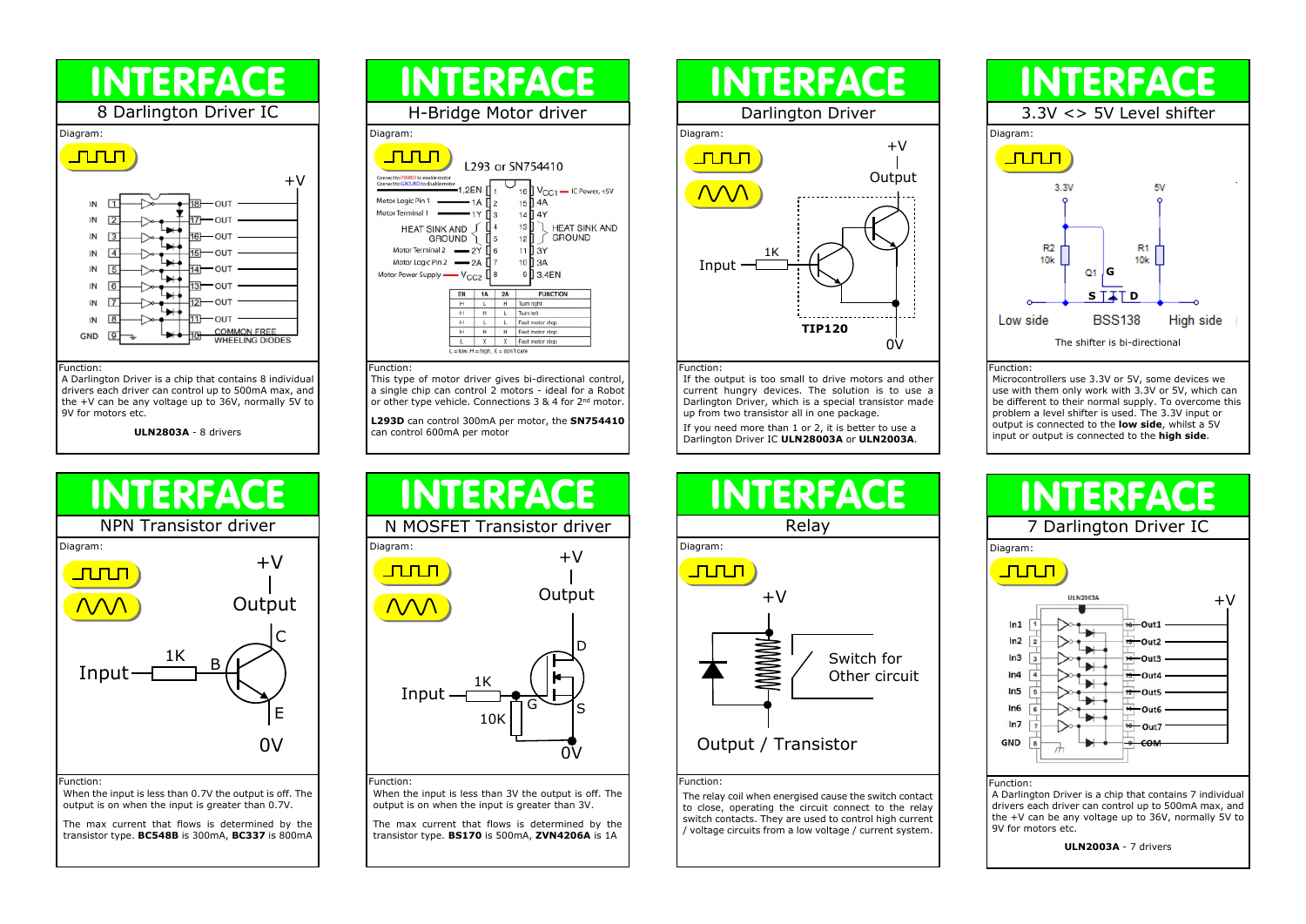

drivers each driver can control up to 500mA max, and the +V can be any voltage up to 36V, normally 5V to 9V for motors etc.

**ULN2803A** - 8 drivers



# Function:

When the input is less than 0.7V the output is off. The output is on when the input is greater than 0.7V.

The max current that flows is determined by the transistor type. **BC548B** is 300mA, **BC337** is 800mA



Function:

This type of motor driver gives bi-directional control, a single chip can control 2 motors - ideal for a Robot or other type vehicle. Connections 3 & 4 for 2nd motor.

**L293D** can control 300mA per motor, the **SN754410** can control 600mA per motor



#### Function:

If the output is too small to drive motors and other current hungry devices. The solution is to use a Darlington Driver, which is a special transistor made up from two transistor all in one package.

If you need more than 1 or 2, it is better to use a Darlington Driver IC **ULN28003A** or **ULN2003A**.



# Function:

The relay coil when energised cause the switch contact to close, operating the circuit connect to the relay switch contacts. They are used to control high current / voltage circuits from a low voltage / current system.



# Function:

Microcontrollers use 3.3V or 5V, some devices we use with them only work with 3.3V or 5V, which can be different to their normal supply. To overcome this problem a level shifter is used. The 3.3V input or output is connected to the **low side**, whilst a 5V input or output is connected to the **high side**.



# Function:

A Darlington Driver is a chip that contains 7 individual drivers each driver can control up to 500mA max, and the +V can be any voltage up to 36V, normally 5V to 9V for motors etc.

**ULN2003A** - 7 drivers



# Function:

When the input is less than 3V the output is off. The output is on when the input is greater than 3V.

The max current that flows is determined by the transistor type. **BS170** is 500mA, **ZVN4206A** is 1A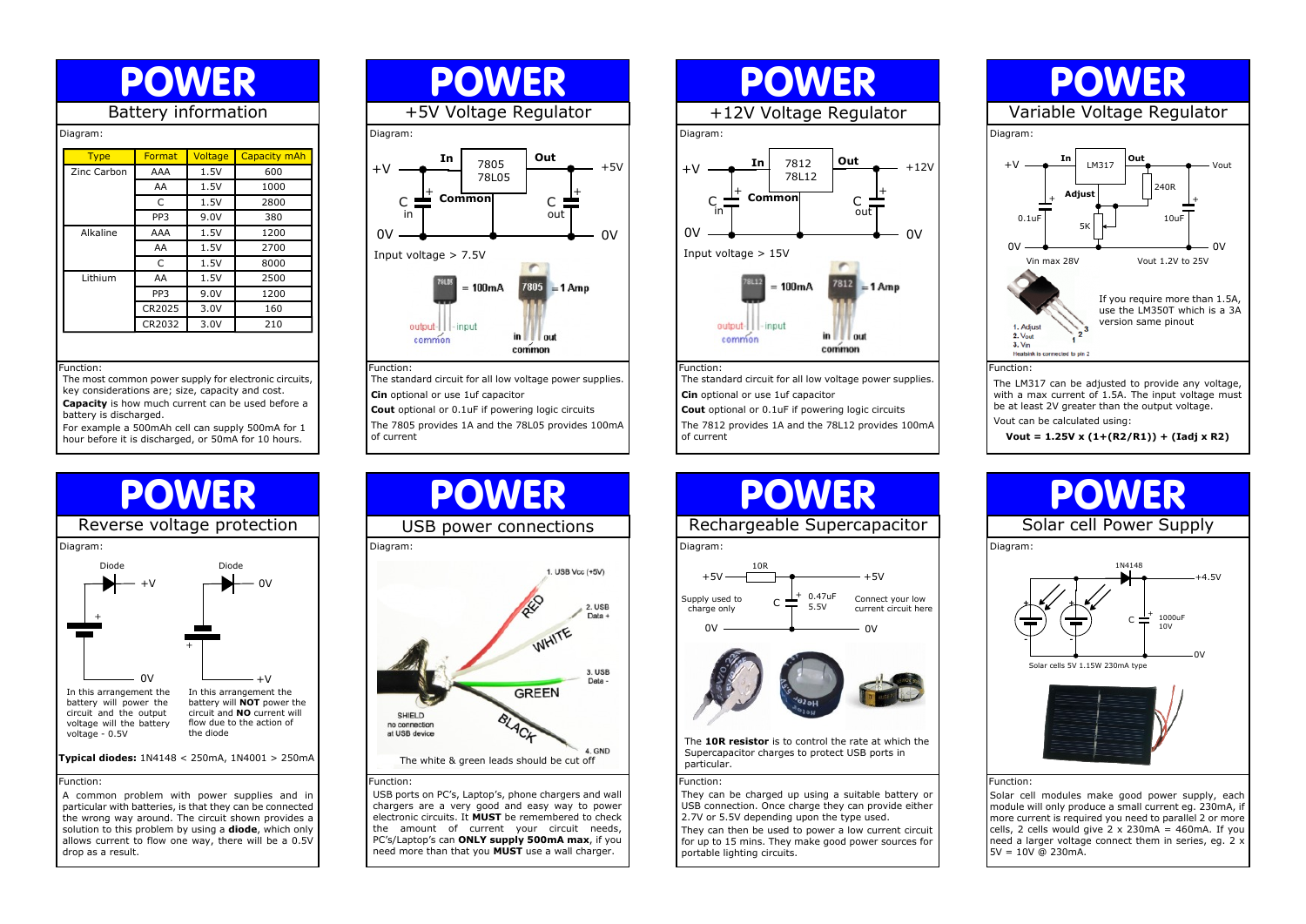# POWER

Battery information

| <b>Type</b> | Format          | Voltage | <b>Capacity mAh</b> |
|-------------|-----------------|---------|---------------------|
| Zinc Carbon | AAA             | 1.5V    | 600                 |
|             | AA              | 1.5V    | 1000                |
|             | C               | 1.5V    | 2800                |
|             | PP3             | 9.0V    | 380                 |
| Alkaline    | AAA             | 1.5V    | 1200                |
|             | AA              | 1.5V    | 2700                |
|             | C               | 1.5V    | 8000                |
| Lithium     | AA              | 1.5V    | 2500                |
|             | PP <sub>3</sub> | 9.0V    | 1200                |
|             | CR2025          | 3.0V    | 160                 |
|             | CR2032          | 3.0V    | 210                 |

#### Function:

The most common power supply for electronic circuits, key considerations are; size, capacity and cost. **Capacity** is how much current can be used before a battery is discharged.

For example a 500mAh cell can supply 500mA for 1 hour before it is discharged, or 50mA for 10 hours.



# Function:

A common problem with power supplies and in particular with batteries, is that they can be connected the wrong way around. The circuit shown provides a solution to this problem by using a **diode**, which only allows current to flow one way, there will be a 0.5V drop as a result.



The standard circuit for all low voltage power supplies. **Cin** optional or use 1uf capacitor

**Cout** optional or 0.1uF if powering logic circuits The 7805 provides 1A and the 78L05 provides 100mA of current



USB ports on PC's, Laptop's, phone chargers and wall chargers are a very good and easy way to power electronic circuits. It **MUST** be remembered to check the amount of current your circuit needs, PC's/Laptop's can **ONLY supply 500mA max**, if you need more than that you **MUST** use a wall charger.



**Cin** optional or use 1uf capacitor

**Cout** optional or 0.1uF if powering logic circuits The 7812 provides 1A and the 78L12 provides 100mA of current



Supercapacitor charges to protect USB ports in particular.

# Function:

They can be charged up using a suitable battery or USB connection. Once charge they can provide either 2.7V or 5.5V depending upon the type used. They can then be used to power a low current circuit

for up to 15 mins. They make good power sources for portable lighting circuits.



with a max current of 1.5A. The input voltage must be at least 2V greater than the output voltage. Vout can be calculated using:

**Vout = 1.25V x (1+(R2/R1)) + (Iadj x R2)**



### Function:

Solar cell modules make good power supply, each module will only produce a small current eg. 230mA, if more current is required you need to parallel 2 or more cells, 2 cells would give  $2 \times 230$  mA = 460 mA. If you need a larger voltage connect them in series, eg. 2 x 5V = 10V @ 230mA.